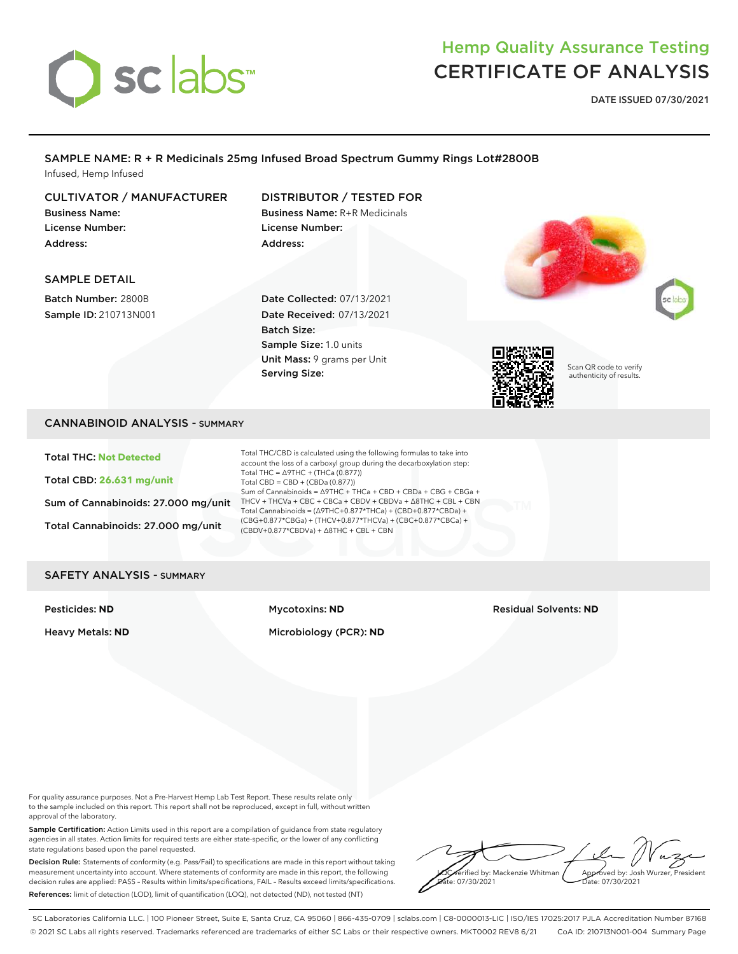# sclabs<sup>\*</sup>

## Hemp Quality Assurance Testing CERTIFICATE OF ANALYSIS

**DATE ISSUED 07/30/2021**

### SAMPLE NAME: R + R Medicinals 25mg Infused Broad Spectrum Gummy Rings Lot#2800B Infused, Hemp Infused

### CULTIVATOR / MANUFACTURER

Business Name: License Number: Address:

### DISTRIBUTOR / TESTED FOR Business Name: R+R Medicinals

License Number: Address:

### SAMPLE DETAIL

Batch Number: 2800B Sample ID: 210713N001 Date Collected: 07/13/2021 Date Received: 07/13/2021 Batch Size: Sample Size: 1.0 units Unit Mass: 9 grams per Unit Serving Size:



Scan QR code to verify authenticity of results.

### CANNABINOID ANALYSIS - SUMMARY

Total THC: **Not Detected**

Total CBD: **26.631 mg/unit**

Sum of Cannabinoids: 27.000 mg/unit

Total Cannabinoids: 27.000 mg/unit

Total THC/CBD is calculated using the following formulas to take into account the loss of a carboxyl group during the decarboxylation step: Total THC =  $\triangle$ 9THC + (THCa (0.877)) Total CBD = CBD + (CBDa (0.877)) Sum of Cannabinoids = ∆9THC + THCa + CBD + CBDa + CBG + CBGa + THCV + THCVa + CBC + CBCa + CBDV + CBDVa + ∆8THC + CBL + CBN Total Cannabinoids = (∆9THC+0.877\*THCa) + (CBD+0.877\*CBDa) + (CBG+0.877\*CBGa) + (THCV+0.877\*THCVa) + (CBC+0.877\*CBCa) + (CBDV+0.877\*CBDVa) + ∆8THC + CBL + CBN

### SAFETY ANALYSIS - SUMMARY

### Heavy Metals: **ND** Microbiology (PCR): **ND**

Pesticides: **ND** Mycotoxins: **ND** Residual Solvents: **ND**

For quality assurance purposes. Not a Pre-Harvest Hemp Lab Test Report. These results relate only to the sample included on this report. This report shall not be reproduced, except in full, without written approval of the laboratory.

Sample Certification: Action Limits used in this report are a compilation of guidance from state regulatory agencies in all states. Action limits for required tests are either state-specific, or the lower of any conflicting state regulations based upon the panel requested.

Decision Rule: Statements of conformity (e.g. Pass/Fail) to specifications are made in this report without taking measurement uncertainty into account. Where statements of conformity are made in this report, the following decision rules are applied: PASS – Results within limits/specifications, FAIL – Results exceed limits/specifications. References: limit of detection (LOD), limit of quantification (LOO), not detected (ND), not tested (NT)

erified by: Mackenzie Whitman e: 07/30/2021 Approved by: Josh Wurzer, President Date: 07/30/2021

SC Laboratories California LLC. | 100 Pioneer Street, Suite E, Santa Cruz, CA 95060 | 866-435-0709 | sclabs.com | C8-0000013-LIC | ISO/IES 17025:2017 PJLA Accreditation Number 87168 © 2021 SC Labs all rights reserved. Trademarks referenced are trademarks of either SC Labs or their respective owners. MKT0002 REV8 6/21 CoA ID: 210713N001-004 Summary Page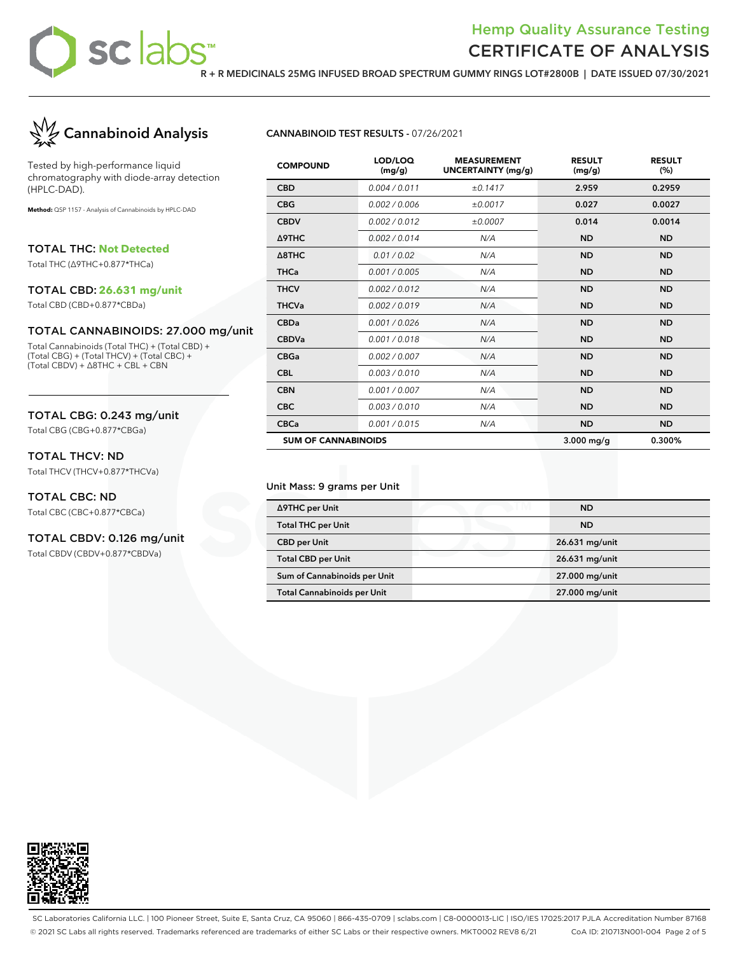

### Hemp Quality Assurance Testing CERTIFICATE OF ANALYSIS

**R + R MEDICINALS 25MG INFUSED BROAD SPECTRUM GUMMY RINGS LOT#2800B | DATE ISSUED 07/30/2021**



Tested by high-performance liquid chromatography with diode-array detection (HPLC-DAD).

**Method:** QSP 1157 - Analysis of Cannabinoids by HPLC-DAD

TOTAL THC: **Not Detected**

Total THC (∆9THC+0.877\*THCa)

### TOTAL CBD: **26.631 mg/unit**

Total CBD (CBD+0.877\*CBDa)

### TOTAL CANNABINOIDS: 27.000 mg/unit

Total Cannabinoids (Total THC) + (Total CBD) + (Total CBG) + (Total THCV) + (Total CBC) + (Total CBDV) + ∆8THC + CBL + CBN

### TOTAL CBG: 0.243 mg/unit

Total CBG (CBG+0.877\*CBGa)

### TOTAL THCV: ND

Total THCV (THCV+0.877\*THCVa)

### TOTAL CBC: ND

Total CBC (CBC+0.877\*CBCa)

### TOTAL CBDV: 0.126 mg/unit

Total CBDV (CBDV+0.877\*CBDVa)

### **CANNABINOID TEST RESULTS -** 07/26/2021

| <b>COMPOUND</b>            | LOD/LOQ<br>(mg/g) | <b>MEASUREMENT</b><br><b>UNCERTAINTY (mg/g)</b> | <b>RESULT</b><br>(mg/g) | <b>RESULT</b><br>(%) |
|----------------------------|-------------------|-------------------------------------------------|-------------------------|----------------------|
| <b>CBD</b>                 | 0.004 / 0.011     | ±0.1417                                         | 2.959                   | 0.2959               |
| <b>CBG</b>                 | 0.002 / 0.006     | ±0.0017                                         | 0.027                   | 0.0027               |
| <b>CBDV</b>                | 0.002/0.012       | ±0.0007                                         | 0.014                   | 0.0014               |
| <b>A9THC</b>               | 0.002/0.014       | N/A                                             | <b>ND</b>               | <b>ND</b>            |
| $\triangle$ 8THC           | 0.01 / 0.02       | N/A                                             | <b>ND</b>               | <b>ND</b>            |
| <b>THCa</b>                | 0.001 / 0.005     | N/A                                             | <b>ND</b>               | <b>ND</b>            |
| <b>THCV</b>                | 0.002 / 0.012     | N/A                                             | <b>ND</b>               | <b>ND</b>            |
| <b>THCVa</b>               | 0.002 / 0.019     | N/A                                             | <b>ND</b>               | <b>ND</b>            |
| <b>CBDa</b>                | 0.001 / 0.026     | N/A                                             | <b>ND</b>               | <b>ND</b>            |
| <b>CBDVa</b>               | 0.001 / 0.018     | N/A                                             | <b>ND</b>               | <b>ND</b>            |
| <b>CBGa</b>                | 0.002 / 0.007     | N/A                                             | <b>ND</b>               | <b>ND</b>            |
| <b>CBL</b>                 | 0.003/0.010       | N/A                                             | <b>ND</b>               | <b>ND</b>            |
| <b>CBN</b>                 | 0.001 / 0.007     | N/A                                             | <b>ND</b>               | <b>ND</b>            |
| <b>CBC</b>                 | 0.003/0.010       | N/A                                             | <b>ND</b>               | <b>ND</b>            |
| <b>CBCa</b>                | 0.001 / 0.015     | N/A                                             | <b>ND</b>               | <b>ND</b>            |
| <b>SUM OF CANNABINOIDS</b> |                   |                                                 | $3.000$ mg/g            | 0.300%               |

#### Unit Mass: 9 grams per Unit

| ∆9THC per Unit                     | <b>ND</b>      |
|------------------------------------|----------------|
| <b>Total THC per Unit</b>          | <b>ND</b>      |
| <b>CBD</b> per Unit                | 26.631 mg/unit |
| <b>Total CBD per Unit</b>          | 26.631 mg/unit |
| Sum of Cannabinoids per Unit       | 27.000 mg/unit |
| <b>Total Cannabinoids per Unit</b> | 27.000 mg/unit |



SC Laboratories California LLC. | 100 Pioneer Street, Suite E, Santa Cruz, CA 95060 | 866-435-0709 | sclabs.com | C8-0000013-LIC | ISO/IES 17025:2017 PJLA Accreditation Number 87168 © 2021 SC Labs all rights reserved. Trademarks referenced are trademarks of either SC Labs or their respective owners. MKT0002 REV8 6/21 CoA ID: 210713N001-004 Page 2 of 5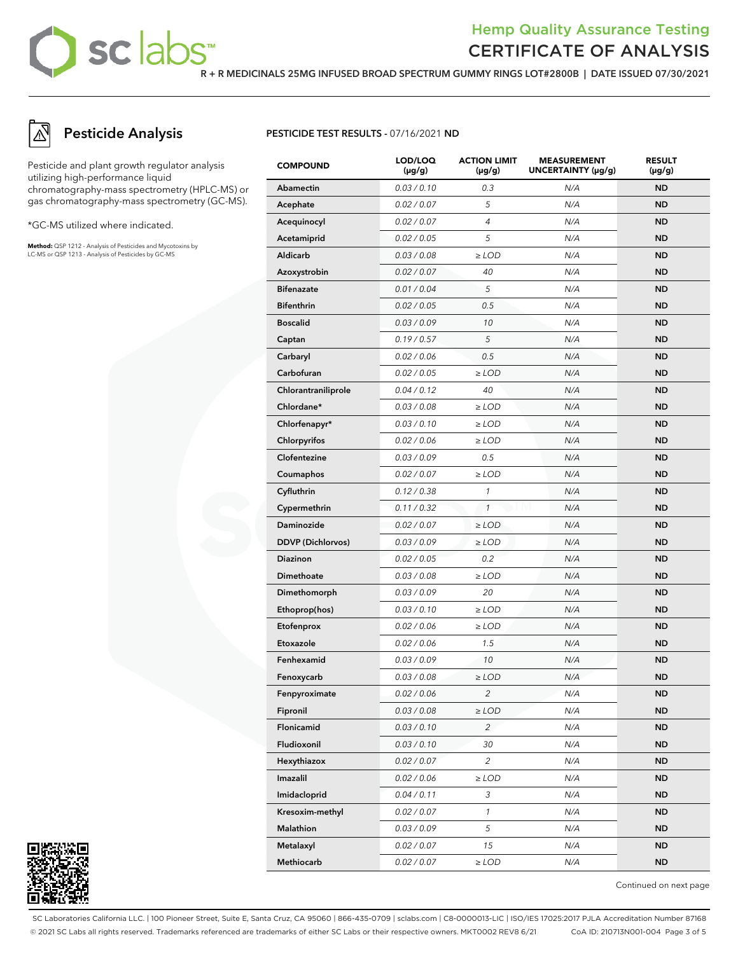## sc labs™

## Hemp Quality Assurance Testing CERTIFICATE OF ANALYSIS

**R + R MEDICINALS 25MG INFUSED BROAD SPECTRUM GUMMY RINGS LOT#2800B | DATE ISSUED 07/30/2021**

## **Pesticide Analysis**

Pesticide and plant growth regulator analysis utilizing high-performance liquid chromatography-mass spectrometry (HPLC-MS) or gas chromatography-mass spectrometry (GC-MS).

\*GC-MS utilized where indicated.

**Method:** QSP 1212 - Analysis of Pesticides and Mycotoxins by LC-MS or QSP 1213 - Analysis of Pesticides by GC-MS

### **PESTICIDE TEST RESULTS -** 07/16/2021 **ND**

| <b>COMPOUND</b>          | LOD/LOQ<br>$(\mu g/g)$ | <b>ACTION LIMIT</b><br>(µg/g) | <b>MEASUREMENT</b><br>UNCERTAINTY (µg/g) | <b>RESULT</b><br>$(\mu g/g)$ |
|--------------------------|------------------------|-------------------------------|------------------------------------------|------------------------------|
| Abamectin                | 0.03 / 0.10            | 0.3                           | N/A                                      | <b>ND</b>                    |
| Acephate                 | 0.02 / 0.07            | 5                             | N/A                                      | ND                           |
| Acequinocyl              | 0.02 / 0.07            | $\overline{4}$                | N/A                                      | <b>ND</b>                    |
| Acetamiprid              | 0.02 / 0.05            | 5                             | N/A                                      | <b>ND</b>                    |
| Aldicarb                 | 0.03 / 0.08            | $\ge$ LOD                     | N/A                                      | ND                           |
| Azoxystrobin             | 0.02 / 0.07            | 40                            | N/A                                      | <b>ND</b>                    |
| <b>Bifenazate</b>        | 0.01 / 0.04            | 5                             | N/A                                      | <b>ND</b>                    |
| <b>Bifenthrin</b>        | 0.02 / 0.05            | 0.5                           | N/A                                      | ND                           |
| <b>Boscalid</b>          | 0.03 / 0.09            | 10                            | N/A                                      | <b>ND</b>                    |
| Captan                   | 0.19/0.57              | 5                             | N/A                                      | ND                           |
| Carbaryl                 | 0.02 / 0.06            | 0.5                           | N/A                                      | ND                           |
| Carbofuran               | 0.02 / 0.05            | $\geq$ LOD                    | N/A                                      | <b>ND</b>                    |
| Chlorantraniliprole      | 0.04 / 0.12            | 40                            | N/A                                      | <b>ND</b>                    |
| Chlordane*               | 0.03 / 0.08            | $\geq$ LOD                    | N/A                                      | ND                           |
| Chlorfenapyr*            | 0.03 / 0.10            | $\geq$ LOD                    | N/A                                      | <b>ND</b>                    |
| Chlorpyrifos             | 0.02 / 0.06            | $\geq$ LOD                    | N/A                                      | ND                           |
| Clofentezine             | 0.03 / 0.09            | 0.5                           | N/A                                      | ND                           |
| Coumaphos                | 0.02 / 0.07            | $\geq$ LOD                    | N/A                                      | <b>ND</b>                    |
| Cyfluthrin               | 0.12 / 0.38            | 1                             | N/A                                      | <b>ND</b>                    |
| Cypermethrin             | 0.11 / 0.32            | $\mathbf{1}$                  | N/A                                      | ND                           |
| Daminozide               | 0.02 / 0.07            | $\geq$ LOD                    | N/A                                      | <b>ND</b>                    |
| <b>DDVP</b> (Dichlorvos) | 0.03 / 0.09            | $\geq$ LOD                    | N/A                                      | ND                           |
| Diazinon                 | 0.02 / 0.05            | 0.2                           | N/A                                      | ND                           |
| Dimethoate               | 0.03 / 0.08            | $\geq$ LOD                    | N/A                                      | <b>ND</b>                    |
| Dimethomorph             | 0.03 / 0.09            | 20                            | N/A                                      | <b>ND</b>                    |
| Ethoprop(hos)            | 0.03 / 0.10            | $\geq$ LOD                    | N/A                                      | ND                           |
| Etofenprox               | 0.02 / 0.06            | $\geq$ LOD                    | N/A                                      | <b>ND</b>                    |
| Etoxazole                | 0.02 / 0.06            | 1.5                           | N/A                                      | ND                           |
| Fenhexamid               | 0.03 / 0.09            | 10                            | N/A                                      | ND                           |
| Fenoxycarb               | 0.03 / 0.08            | $\ge$ LOD                     | N/A                                      | <b>ND</b>                    |
| Fenpyroximate            | 0.02 / 0.06            | 2                             | N/A                                      | ND.                          |
| Fipronil                 | 0.03 / 0.08            | $\ge$ LOD                     | N/A                                      | ND                           |
| Flonicamid               | 0.03 / 0.10            | $\overline{c}$                | N/A                                      | <b>ND</b>                    |
| Fludioxonil              | 0.03 / 0.10            | 30                            | N/A                                      | <b>ND</b>                    |
| Hexythiazox              | 0.02 / 0.07            | $\overline{c}$                | N/A                                      | ND.                          |
| Imazalil                 | 0.02 / 0.06            | $\geq$ LOD                    | N/A                                      | <b>ND</b>                    |
| Imidacloprid             | 0.04 / 0.11            | 3                             | N/A                                      | ND.                          |
| Kresoxim-methyl          | 0.02 / 0.07            | $\mathcal{I}$                 | N/A                                      | <b>ND</b>                    |
| Malathion                | 0.03 / 0.09            | 5                             | N/A                                      | <b>ND</b>                    |
| Metalaxyl                | 0.02 / 0.07            | 15                            | N/A                                      | ND.                          |
| Methiocarb               | 0.02 / 0.07            | $\geq$ LOD                    | N/A                                      | ND.                          |



Continued on next page

SC Laboratories California LLC. | 100 Pioneer Street, Suite E, Santa Cruz, CA 95060 | 866-435-0709 | sclabs.com | C8-0000013-LIC | ISO/IES 17025:2017 PJLA Accreditation Number 87168 © 2021 SC Labs all rights reserved. Trademarks referenced are trademarks of either SC Labs or their respective owners. MKT0002 REV8 6/21 CoA ID: 210713N001-004 Page 3 of 5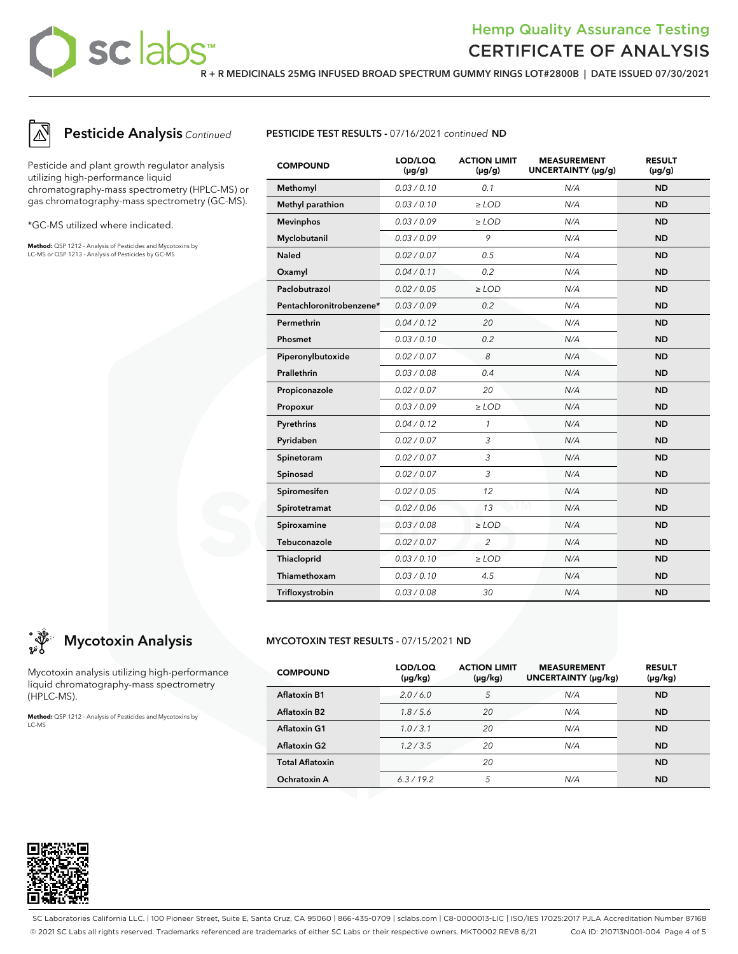## sclabs<sup>®</sup>

## Hemp Quality Assurance Testing CERTIFICATE OF ANALYSIS

**R + R MEDICINALS 25MG INFUSED BROAD SPECTRUM GUMMY RINGS LOT#2800B | DATE ISSUED 07/30/2021**



## **Pesticide Analysis** Continued

Pesticide and plant growth regulator analysis utilizing high-performance liquid chromatography-mass spectrometry (HPLC-MS) or gas chromatography-mass spectrometry (GC-MS).

\*GC-MS utilized where indicated.

**Method:** QSP 1212 - Analysis of Pesticides and Mycotoxins by LC-MS or QSP 1213 - Analysis of Pesticides by GC-MS



| <b>COMPOUND</b>          | LOD/LOQ<br>$(\mu g/g)$ | <b>ACTION LIMIT</b><br>$(\mu g/g)$ | <b>MEASUREMENT</b><br>UNCERTAINTY (µg/g) | <b>RESULT</b><br>$(\mu g/g)$ |
|--------------------------|------------------------|------------------------------------|------------------------------------------|------------------------------|
| Methomyl                 | 0.03/0.10              | 0.1                                | N/A                                      | <b>ND</b>                    |
| Methyl parathion         | 0.03 / 0.10            | $\geq$ LOD                         | N/A                                      | <b>ND</b>                    |
| <b>Mevinphos</b>         | 0.03 / 0.09            | $\geq$ LOD                         | N/A                                      | <b>ND</b>                    |
| Myclobutanil             | 0.03/0.09              | 9                                  | N/A                                      | <b>ND</b>                    |
| <b>Naled</b>             | 0.02 / 0.07            | 0.5                                | N/A                                      | <b>ND</b>                    |
| Oxamyl                   | 0.04 / 0.11            | 0.2                                | N/A                                      | <b>ND</b>                    |
| Paclobutrazol            | 0.02 / 0.05            | $\geq$ LOD                         | N/A                                      | <b>ND</b>                    |
| Pentachloronitrobenzene* | 0.03/0.09              | 0.2                                | N/A                                      | <b>ND</b>                    |
| Permethrin               | 0.04 / 0.12            | 20                                 | N/A                                      | <b>ND</b>                    |
| Phosmet                  | 0.03/0.10              | 0.2                                | N/A                                      | <b>ND</b>                    |
| Piperonylbutoxide        | 0.02 / 0.07            | 8                                  | N/A                                      | <b>ND</b>                    |
| Prallethrin              | 0.03 / 0.08            | 0.4                                | N/A                                      | <b>ND</b>                    |
| Propiconazole            | 0.02 / 0.07            | 20                                 | N/A                                      | <b>ND</b>                    |
| Propoxur                 | 0.03/0.09              | $\geq$ LOD                         | N/A                                      | <b>ND</b>                    |
| Pyrethrins               | 0.04 / 0.12            | $\mathcal{I}$                      | N/A                                      | <b>ND</b>                    |
| Pyridaben                | 0.02 / 0.07            | 3                                  | N/A                                      | <b>ND</b>                    |
| Spinetoram               | 0.02 / 0.07            | 3                                  | N/A                                      | <b>ND</b>                    |
| Spinosad                 | 0.02 / 0.07            | 3                                  | N/A                                      | <b>ND</b>                    |
| Spiromesifen             | 0.02 / 0.05            | 12                                 | N/A                                      | <b>ND</b>                    |
| Spirotetramat            | 0.02 / 0.06            | 13                                 | N/A                                      | <b>ND</b>                    |
| Spiroxamine              | 0.03 / 0.08            | $\ge$ LOD                          | N/A                                      | <b>ND</b>                    |
| Tebuconazole             | 0.02 / 0.07            | $\overline{2}$                     | N/A                                      | <b>ND</b>                    |
| Thiacloprid              | 0.03 / 0.10            | $\geq$ LOD                         | N/A                                      | <b>ND</b>                    |
| Thiamethoxam             | 0.03 / 0.10            | 4.5                                | N/A                                      | <b>ND</b>                    |
| Trifloxystrobin          | 0.03 / 0.08            | 30                                 | N/A                                      | <b>ND</b>                    |

## **Mycotoxin Analysis**

Mycotoxin analysis utilizing high-performance liquid chromatography-mass spectrometry (HPLC-MS).

**Method:** QSP 1212 - Analysis of Pesticides and Mycotoxins by LC-MS

### **MYCOTOXIN TEST RESULTS -** 07/15/2021 **ND**

| <b>COMPOUND</b>        | LOD/LOQ<br>$(\mu g/kg)$ | <b>ACTION LIMIT</b><br>$(\mu g/kg)$ | <b>MEASUREMENT</b><br>UNCERTAINTY (µq/kq) | <b>RESULT</b><br>$(\mu g/kg)$ |
|------------------------|-------------------------|-------------------------------------|-------------------------------------------|-------------------------------|
| <b>Aflatoxin B1</b>    | 2.0/6.0                 | 5                                   | N/A                                       | <b>ND</b>                     |
| <b>Aflatoxin B2</b>    | 1.8/5.6                 | 20                                  | N/A                                       | <b>ND</b>                     |
| <b>Aflatoxin G1</b>    | 1.0/3.1                 | 20                                  | N/A                                       | <b>ND</b>                     |
| <b>Aflatoxin G2</b>    | 1.2/3.5                 | 20                                  | N/A                                       | <b>ND</b>                     |
| <b>Total Aflatoxin</b> |                         | 20                                  |                                           | <b>ND</b>                     |
| Ochratoxin A           | 6.3/19.2                | 5                                   | N/A                                       | <b>ND</b>                     |



SC Laboratories California LLC. | 100 Pioneer Street, Suite E, Santa Cruz, CA 95060 | 866-435-0709 | sclabs.com | C8-0000013-LIC | ISO/IES 17025:2017 PJLA Accreditation Number 87168 © 2021 SC Labs all rights reserved. Trademarks referenced are trademarks of either SC Labs or their respective owners. MKT0002 REV8 6/21 CoA ID: 210713N001-004 Page 4 of 5